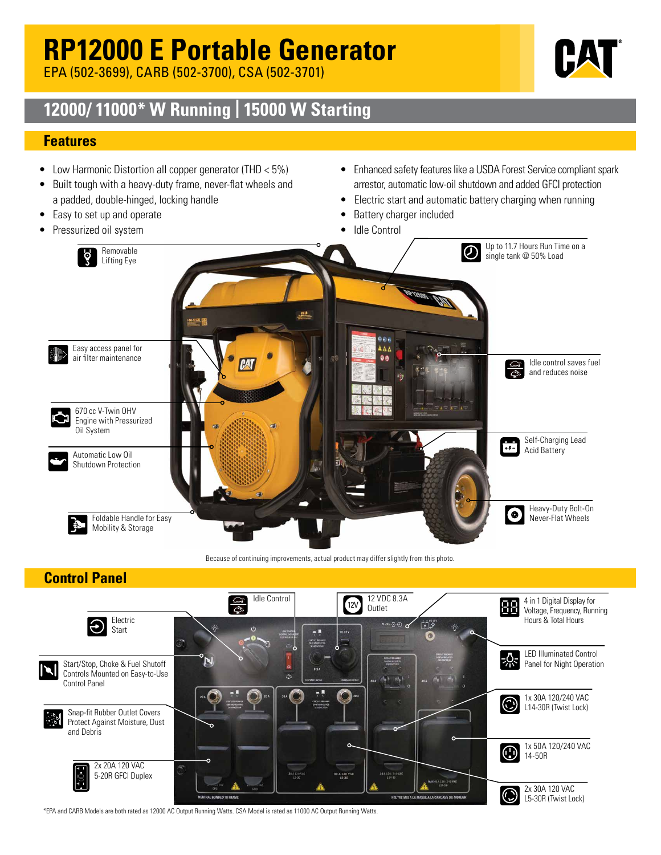# **RP12000 E Portable Generator**

EPA (502-3699), CARB (502-3700), CSA (502-3701)

## **12000/ 11000\* W Running | 15000 W Starting**

### **Features**

- Low Harmonic Distortion all copper generator (THD < 5%)
- Built tough with a heavy-duty frame, never-flat wheels and a padded, double-hinged, locking handle
- Easy to set up and operate
- Pressurized oil system
- Enhanced safety features like a USDA Forest Service compliant spark arrestor, automatic low-oil shutdown and added GFCI protection
- Electric start and automatic battery charging when running
- Battery charger included
- Idle Control



Because of continuing improvements, actual product may differ slightly from this photo.

## **Control Panel**



\*EPA and CARB Models are both rated as 12000 AC Output Running Watts. CSA Model is rated as 11000 AC Output Running Watts.